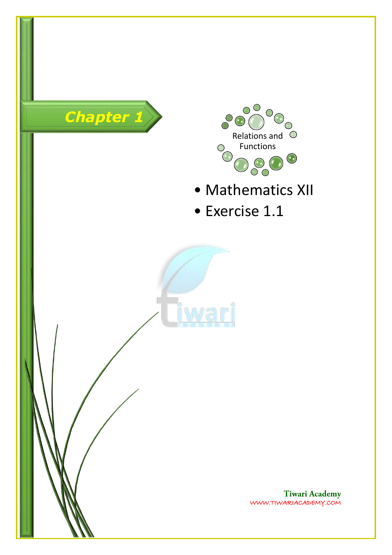



- Mathematics XII
- Exercise 1.1

**Tiwari Academy**<br>WWW.TIWARIACADEMY.COM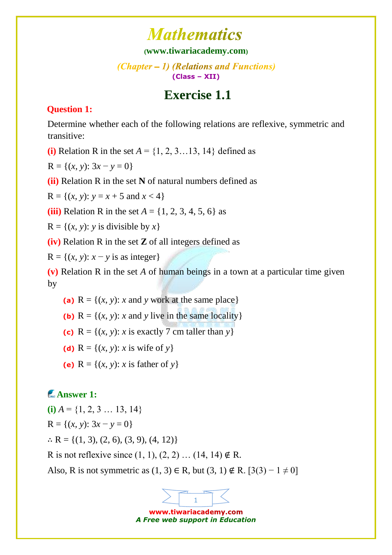#### **([www.tiwariacademy.com](http://www.tiwariacademy.com/))**

#### (Chapter – 1) (Relations and Functions) **(Class – XII)**

## **Exercise 1.1**

#### **Question 1:**

[Determine whether each of the following relations are reflexive, symmetric and](http://www.tiwariacademy.com/)  [transitive:](http://www.tiwariacademy.com/) 

**(i)** Relation R in the set  $A = \{1, 2, 3, \ldots, 13, 14\}$  defined as

 $R = \{(x, y): 3x - y = 0\}$ 

**(ii)** Relation R in the set **N** [of natural numbers defined as](http://www.tiwariacademy.com/) 

 $R = \{(x, y): y = x + 5 \text{ and } x < 4\}$ 

**(iii)** Relation R in the set  $A = \{1, 2, 3, 4, 5, 6\}$  as

 $R = \{(x, y): y \text{ is divisible by } x\}$ 

**(iv)** Relation R in the set **Z** of all integers defined as

 $R = \{(x, y): x - y \text{ is as integer}\}\$ 

**(v)** Relation R in the set *A* of human beings in a town at a particular time given by

- (a)  $R = \{(x, y): x \text{ and } y \text{ work at the same place}\}\$
- **(b)**  $R = \{(x, y): x \text{ and } y \text{ live in the same locality}\}\$
- (c)  $R = \{(x, y): x \text{ is exactly } 7 \text{ cm taller than } y\}$

(**d**)  $R = \{(x, y): x \text{ is wife of } y\}$  $R = \{(x, y): x \text{ is wife of } y\}$  $R = \{(x, y): x \text{ is wife of } y\}$ 

(e)  $R = \{(x, y): x \text{ is father of } y\}$  $R = \{(x, y): x \text{ is father of } y\}$  $R = \{(x, y): x \text{ is father of } y\}$ 

## **Answer 1:**

 $(i)$   $A = \{1, 2, 3 \dots 13, 14\}$  $R = \{(x, y): 3x - y = 0\}$  $\therefore$  [R = {\(1, 3\), \(2, 6\), \(3, 9\), \(4,](http://www.tiwariacademy.com/) 12)}

R is not reflexive since  $(1, 1), (2, 2)$  ...  $(14, 14) \notin R$ .

Also, R is not symmetric as  $(1, 3)$  ∈ R, but  $(3, 1) \notin R$ . [3(3) – 1 ≠ 0]

www.tiwariacademy.com *A Free web support in Education*

1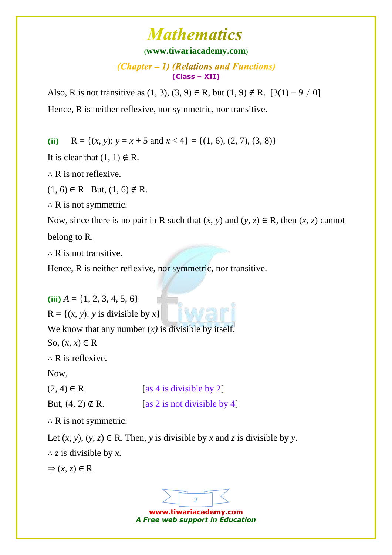### **([www.tiwariacademy.com](http://www.tiwariacademy.com/))**

 $(Chapter - 1)$  (Relations and Functions) **(Class – XII)**

Also, R is not transitive as  $(1, 3)$ ,  $(3, 9)$  ∈ R, but  $(1, 9)$  ∉ R.  $[3(1) - 9 \neq 0]$ [Hence, R is neither reflexive, nor symmetric, nor transitive.](http://www.tiwariacademy.com/) 

(ii)  $R = \{(x, y): y = x + 5 \text{ and } x < 4\} = \{(1, 6), (2, 7), (3, 8)\}\$ 

It is clear that  $(1, 1) \notin R$ .

∴ [R is not reflexive.](http://www.tiwariacademy.com/) 

 $(1, 6) \in R$  But,  $(1, 6) \notin R$ .

 $\therefore$  R is not symmetric.

Now, since there is no pair in R such that  $(x, y)$  and  $(y, z) \in R$ , then  $(x, z)$  cannot [belong to R.](http://www.tiwariacademy.com/) 

∴ [R is not transitive.](http://www.tiwariacademy.com/) 

[Hence, R is neither reflexive, nor symmetric, nor transitive.](http://www.tiwariacademy.com/) 

(iii)  $A = \{1, 2, 3, 4, 5, 6\}$  $R = \{(x, y): y \text{ is divisible by } x\}$  $R = \{(x, y): y \text{ is divisible by } x\}$  $R = \{(x, y): y \text{ is divisible by } x\}$ We know that any number  $(x)$  is divisible by itself. So,  $(x, x) \in R$ 

∴ [R is reflexive.](http://www.tiwariacademy.com/) 

[Now,](http://www.tiwariacademy.com/) 

 $(2, 4) \in \mathbb{R}$  [as 4 is divisible by 2] But,  $(4, 2) \notin \mathbb{R}$ . [as 2 is not divisible by 4]

 $\therefore$  R is not symmetric.

Let  $(x, y)$ ,  $(y, z) \in \mathbb{R}$ . Then, *y* is divisible by *x* and *z* is divisible by *y*.

∴ *z* is divisible by *x*.

 $\Rightarrow$   $(x, z) \in \mathbb{R}$ 



*A Free web support in Education*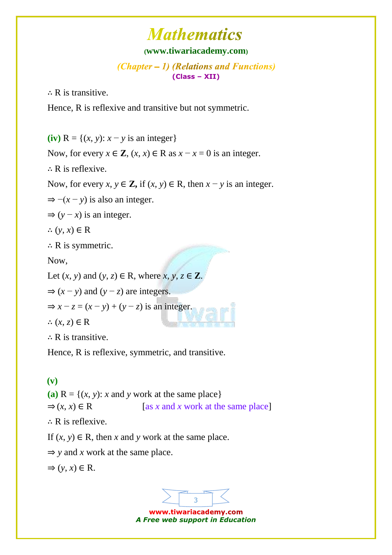### **([www.tiwariacademy.com](http://www.tiwariacademy.com/))**

 $(Chapter - 1)$  (Relations and Functions) **(Class – XII)**

∴ [R is transitive.](http://www.tiwariacademy.com/) 

Hence, R is reflexive and transitive but not symmetric.

(iv)  $R = \{(x, y): x - y \text{ is an integer}\}\$ 

Now, for every  $x \in \mathbb{Z}$ ,  $(x, x) \in \mathbb{R}$  as  $x - x = 0$  is an integer.

∴ [R is reflexive.](http://www.tiwariacademy.com/) 

[Now, for every](http://www.tiwariacademy.com/)  $x, y \in \mathbb{Z}$ , if  $(x, y) \in \mathbb{R}$ , then  $x - y$  is an integer.

 $\Rightarrow$   $-(x - y)$  is also an integer.

 $\Rightarrow$  (*y* − *x*) is an integer.

∴  $(y, x)$  ∈ R

∴ [R is symmetric.](http://www.tiwariacademy.com/) 

[Now,](http://www.tiwariacademy.com/) 

Let  $(x, y)$  and  $(y, z) \in \mathbb{R}$ , where  $x, y, z \in \mathbb{Z}$ .

 $\Rightarrow$   $(x - y)$  and  $(y - z)$  are integers.

 $\Rightarrow$   $x - z = (x - y) + (y - z)$  is an integer.

∴  $(x, z)$  ∈ R

∴ R [is transitive.](http://www.tiwariacademy.com/)

Hence, R is reflexive, symmetric, and transitive.

### **(v)**

(a)  $R = \{(x, y): x \text{ and } y \text{ work at the same place}\}\$  $\Rightarrow$   $(x, x) \in \mathbb{R}$  [as *x* and *x* work at the same place] ∴ [R is reflexive.](http://www.tiwariacademy.com/)  If  $(x, y) \in R$ , then *x* and *y* work at the same place.  $\Rightarrow$  *y* and *x* work at the same place.

 $\Rightarrow$   $(y, x) \in R$ .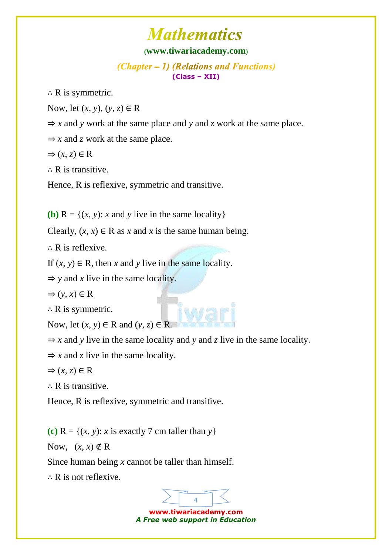#### **([www.tiwariacademy.com](http://www.tiwariacademy.com/))**

 $(Chapter - 1)$  (Relations and Functions) **(Class – XII)**

 $\therefore$  R is symmetric.

[Now, let \(](http://www.tiwariacademy.com/)*x*, *y*), (*y*, *z*) ∈ R

- $\Rightarrow$  *x* and *y* [work at the same place and](http://www.tiwariacademy.com/) *y* and *z* work at the same place.
- $\Rightarrow$  *x* and *z* work at the same place.
- $\Rightarrow$   $(x, z) \in \mathbb{R}$

∴ [R is transitive.](http://www.tiwariacademy.com/) 

[Hence, R is reflexive, symmetric and transitive.](http://www.tiwariacademy.com/)

**(b)**  $R = \{(x, y): x \text{ and } y \text{ live in the same locality}\}\$ 

Clearly,  $(x, x) \in \mathbb{R}$  as *x* and *x* is the same human being.

∴ [R is reflexive.](http://www.tiwariacademy.com/) 

If  $(x, y) \in \mathbb{R}$ , then *x* and *y* live in the same locality.

 $\Rightarrow$  *y* and *x* live in the same locality.

$$
\Rightarrow (y, x) \in \mathbf{R}
$$

 $\therefore$  R is symmetric.

Now, let  $(x, y) \in R$  and  $(y, z) \in R$ .

 $\Rightarrow$  *x* and *y* live in the same locality and *y* and *z* live in the same locality.

 $\Rightarrow$  *x* and *z* live in the same locality.

 $\Rightarrow$   $(x, z) \in \mathbb{R}$ 

∴ [R is transitive.](http://www.tiwariacademy.com/)

Hence, R is reflexive, symmetric and transitive.

**(c)**  $R = \{(x, y): x \text{ is exactly } 7 \text{ cm taller than } y\}$ 

Now,  $(x, x) \notin \mathbb{R}$ 

Since human being *x* [cannot be taller than himself.](http://www.tiwariacademy.com/) 

∴ [R is not reflexive.](http://www.tiwariacademy.com/) 

4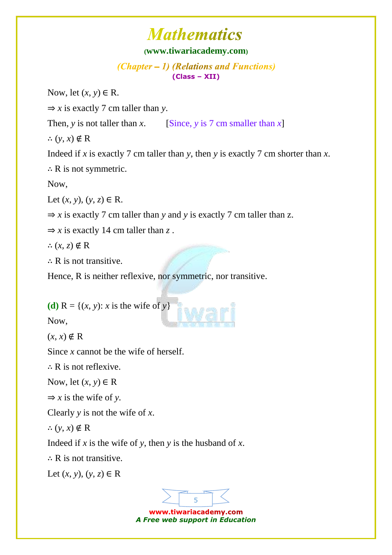#### **([www.tiwariacademy.com](http://www.tiwariacademy.com/))**

 $(Chapter - 1)$  (Relations and Functions) **(Class – XII)**

Now, let  $(x, y) \in R$ .

 $\Rightarrow$  *x* [is exactly 7 cm taller than](http://www.tiwariacademy.com/) *y*.

Then, *y* [is not taller than](http://www.tiwariacademy.com/) *x*. [Since, *y* [is 7 cm smaller than](http://www.tiwariacademy.com/) *x*]

∴  $(y, x) \notin R$ 

Indeed if *x* is exactly 7 cm taller than *y*, then *y* [is exactly 7 cm shorter than](http://www.tiwariacademy.com/) *x*.

∴ [R is not symmetric.](http://www.tiwariacademy.com/) 

[Now,](http://www.tiwariacademy.com/) 

Let  $(x, y)$ ,  $(y, z)$  ∈ R.

 $\Rightarrow$  *x* is exactly 7 cm taller than *y* and *y* is exactly 7 cm taller than *z*.

 $\Rightarrow$  *x* [is exactly 14 cm taller than](http://www.tiwariacademy.com/) *z*.

∴  $(x, z) \notin R$ 

 $\therefore$  R is not transitive.

[Hence, R is neither reflexive, nor symmetric, nor transitive.](http://www.tiwariacademy.com/)

(**d**)  $R = \{(x, y): x \text{ is the wife of } y\}$ 

Now,

 $(x, x)$  ∉ R

Since *x* [cannot be the wife of herself.](http://www.tiwariacademy.com/) 

∴ [R is not reflexive.](http://www.tiwariacademy.com/) 

Now, let  $(x, y) \in R$ 

 $\Rightarrow$  *x* is the wife of *y*.

Clearly *y* is not the wife of *x*.

∴  $(y, x) \notin R$ 

Indeed if *x* is the wife of *y*, then *y* [is the husband of](http://www.tiwariacademy.com/) *x*.

∴ [R is not transitive.](http://www.tiwariacademy.com/) 

Let  $(x, y)$ ,  $(y, z)$  ∈ R

5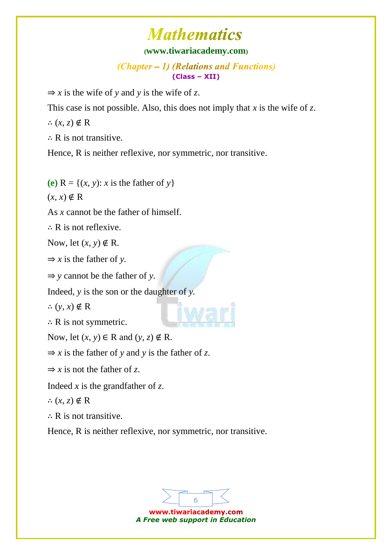### **([www.tiwariacademy.com](http://www.tiwariacademy.com/))**

 $(Chapter - 1)$  (Relations and Functions) **(Class – XII)**

 $\Rightarrow$  *x* [is the wife of](http://www.tiwariacademy.com/) *y* and *y* is the wife of *z*.

[This case is not possible. Also, this does not imply that](http://www.tiwariacademy.com/) *x* is the wife of *z*.

∴  $(x, z) \notin R$ 

 $\therefore$  R is not transitive.

[Hence, R is neither reflexive, nor symmetric, nor transitive.](http://www.tiwariacademy.com/)

(e)  $R = \{(x, y): x \text{ is the father of } y\}$ 

 $(x, x)$  ∉ R

As *x* [cannot be the father of himself.](http://www.tiwariacademy.com/) 

∴ [R is not reflexive.](http://www.tiwariacademy.com/) 

Now, let  $(x, y) \notin R$ .

 $\Rightarrow$  *x* [is the father of](http://www.tiwariacademy.com/) *y*.

⇒ *y* [cannot be the father of](http://www.tiwariacademy.com/) *y.*

Indeed, *y* [is the son or the daughter of](http://www.tiwariacademy.com/) *y.*

∴  $(y, x) \notin R$ 

∴ [R is not symmetric.](http://www.tiwariacademy.com/) 

Now, let  $(x, y) \in R$  and  $(y, z) \notin R$ .

 $\Rightarrow$  *x* is the father of *y* and *y* is the father of *z*.

 $\Rightarrow$  *x* is not the father of *z*.

Indeed *x* is the grandfather of *z*.

∴  $(x, z) \notin R$ 

∴ [R is not transitive.](http://www.tiwariacademy.com/) 

[Hence, R is neither reflexive, nor symmetric, nor transitive.](http://www.tiwariacademy.com/) 

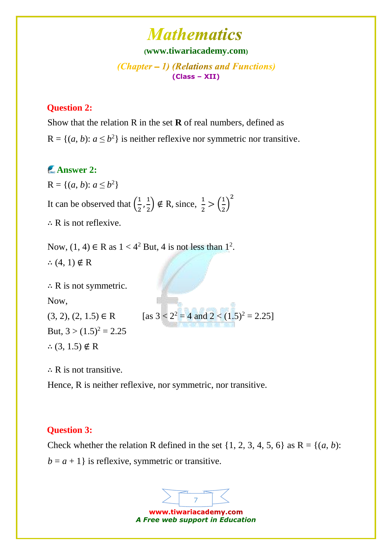### **([www.tiwariacademy.com](http://www.tiwariacademy.com/))**

(Chapter – 1) (Relations and Functions) **(Class – XII)**

#### **Question 2:**

[Show that the relation R in the set](http://www.tiwariacademy.com/) **R** of real numbers, defined as  $R = \{(a, b): a \le b^2\}$  is neither reflexive nor symmetric nor transitive.

### **Answer 2:**

 $R = \{(a, b): a \le b^2\}$ [It can be observed that](http://www.tiwariacademy.com/)  $\left(\frac{1}{2}\right)$  $\frac{1}{2}, \frac{1}{2}$  $\left(\frac{1}{2}\right) \notin R$ , since,  $\frac{1}{2} > \left(\frac{1}{2}\right)$  $\frac{1}{2}$ 2 ∴ [R is not reflexive.](http://www.tiwariacademy.com/) 

Now,  $(1, 4) \in R$  as  $1 < 4^2$  But, 4 is not less than  $1^2$ . ∴  $(4, 1) \notin R$  $(4, 1) \notin R$ 

∴ [R is not symmetric.](http://www.tiwariacademy.com/)  [Now,](http://www.tiwariacademy.com/) 

(3, 2), (2, 1.5)  $\in \mathbb{R}$  [as  $3 < 2^2 = 4$  and  $2 < (1.5)^2 = 2.25$ ] But,  $3 > (1.5)^2 = 2.25$ 

∴  $(3, 1.5) \notin R$  $(3, 1.5) \notin R$  $(3, 1.5) \notin R$ 

∴ R is not transitive.

Hence, R is neither reflexive, nor symmetric, nor transitive.

#### **Question 3:**

Check whether the relation R defined in the set  $\{1, 2, 3, 4, 5, 6\}$  as  $R = \{(a, b):$  $b = a + 1$  is reflexive, symmetric or transitive.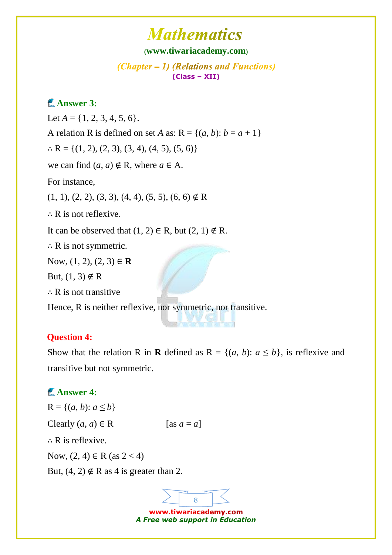#### **([www.tiwariacademy.com](http://www.tiwariacademy.com/))**

 $(Chapter - 1)$  (Relations and Functions) **(Class – XII)**

### **Answer 3:**

Let  $A = \{1, 2, 3, 4, 5, 6\}.$ [A relation R is defined on set](http://www.tiwariacademy.com/) *A* as:  $R = \{(a, b): b = a + 1\}$  $: R = \{(1, 2), (2, 3), (3, 4), (4, 5), (5, 6)\}\$ we can find  $(a, a) \notin R$ , where  $a \in A$ . [For instance,](http://www.tiwariacademy.com/)   $(1, 1), (2, 2), (3, 3), (4, 4), (5, 5), (6, 6) \notin R$  $(1, 1), (2, 2), (3, 3), (4, 4), (5, 5), (6, 6) \notin R$ ∴ [R is not reflexive.](http://www.tiwariacademy.com/)  It can be observed that  $(1, 2) \in R$ , but  $(2, 1) \notin R$ .  $\therefore$  R is not symmetric. [Now, \(1, 2\), \(2, 3\)](http://www.tiwariacademy.com/) ∈ **R** But,  $(1, 3) \notin R$ ∴ [R is not transitive](http://www.tiwariacademy.com/) 

[Hence, R is neither reflexive, nor symmetric, nor transitive.](http://www.tiwariacademy.com/) 

#### **Question 4:**

Show that the relation R in **R** defined as  $R = \{(a, b): a \leq b\}$ , is reflexive and transitive but not symmetric.

### **Answer 4:**

 $R = \{(a, b): a \leq b\}$ Clearly  $(a, a) \in \mathbb{R}$  [as  $a = a$ ] ∴ R is reflexive. Now,  $(2, 4) \in R$  (as  $2 < 4$ ) But,  $(4, 2) \notin R$  as 4 is greater than 2.

> www.tiwariacademy.com *A Free web support in Education*

8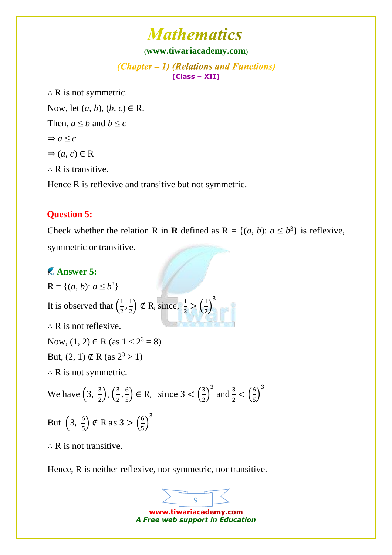#### **([www.tiwariacademy.com](http://www.tiwariacademy.com/))**

(Chapter – 1) (Relations and Functions) **(Class – XII)**

∴ [R is not symmetric.](http://www.tiwariacademy.com/)  [Now, let \(](http://www.tiwariacademy.com/)*a*, *b*), (*b*, *c*) ∈ R. [Then,](http://www.tiwariacademy.com/)  $a \leq b$  and  $b \leq c$  $\Rightarrow$  *a*  $\leq$  *c*  $\Rightarrow$   $(a, c) \in \mathbb{R}$ ∴ [R is transitive.](http://www.tiwariacademy.com/)  [Hence R is reflexive and transitive but not](http://www.tiwariacademy.com/) symmetric.

#### **Question 5:**

Check whether the relation R in **R** defined as  $R = \{(a, b): a \le b^3\}$  is reflexive, symmetric or transitive.

### **Answer 5:**

 $R = \{(a, b): a \le b^3\}$ [It is observed that](http://www.tiwariacademy.com/)  $\left(\frac{1}{2}\right)$  $\frac{1}{2}, \frac{1}{2}$  $\left(\frac{1}{2}\right) \notin R$ , since,  $\frac{1}{2} > \left(\frac{1}{2}\right)$  $\frac{1}{2}$ 3 ∴ [R is not reflexive.](http://www.tiwariacademy.com/)  Now,  $(1, 2) \in R$  (as  $1 < 2^3 = 8$ ) But,  $(2, 1) \notin R$  (as  $2^3 > 1$ ) ∴ [R is not symmetric.](http://www.tiwariacademy.com/)  [We have](http://www.tiwariacademy.com/)  $\left(3, \frac{3}{2}\right)$  $\left(\frac{3}{2}\right)$ ,  $\left(\frac{3}{2}\right)$  $\frac{3}{2}$ ,  $\frac{6}{5}$  $\left(\frac{6}{5}\right) \in \mathbb{R}$ , since  $3 < \left(\frac{3}{2}\right)$  $\frac{3}{2}$  $\frac{3}{2} < \left(\frac{6}{5}\right)$  $\frac{6}{5}$ [But](http://www.tiwariacademy.com/)  $\left(3, \frac{6}{5}\right)$  $(\frac{6}{5}) \notin R \text{ as } 3 > (\frac{6}{5})$  $\frac{6}{5}$ 3

 $\therefore$  R is not transitive.

[Hence, R is neither reflexive,](http://www.tiwariacademy.com/) nor symmetric, nor transitive.

www.tiwariacademy.com *A Free web support in Education*

9

3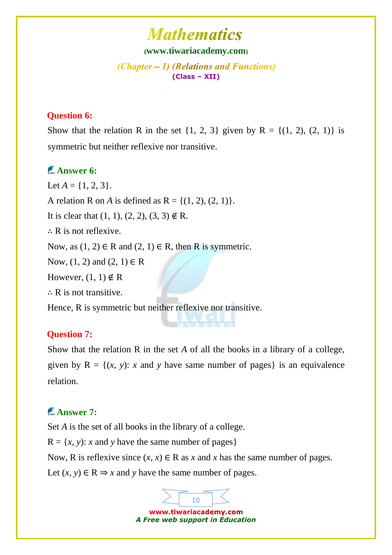**([www.tiwariacademy.com](http://www.tiwariacademy.com/))**

 $(Chapter - 1)$  (Relations and Functions) **(Class – XII)**

### **Question 6:**

Show that the relation R in the set  $\{1, 2, 3\}$  given by R =  $\{(1, 2), (2, 1)\}$  is symmetric but neither reflexive nor transitive.

## **Answer 6:**

Let  $A = \{1, 2, 3\}.$ 

A relation R on *A* is defined as  $R = \{(1, 2), (2, 1)\}.$ 

It is clear that  $(1, 1), (2, 2), (3, 3) \notin R$ .

∴ [R is not reflexive.](http://www.tiwariacademy.com/) 

Now, as  $(1, 2) \in R$  and  $(2, 1) \in R$ , then R is symmetric.

Now,  $(1, 2)$  and  $(2, 1) \in R$ 

However,  $(1, 1) \notin R$ 

∴ [R is not transitive.](http://www.tiwariacademy.com/) 

Hence, R is symmetric but neither reflexive nor transitive.

### **Question 7:**

Show that the relation R in the set *A* of all the books in a library of a college, given by  $R = \{(x, y): x \text{ and } y \text{ have same number of pages}\}\)$  $R = \{(x, y): x \text{ and } y \text{ have same number of pages}\}\)$  $R = \{(x, y): x \text{ and } y \text{ have same number of pages}\}\)$  is an equivalence relation.

## **Answer 7:**

Set *A* [is the set of all books in the library of a college.](http://www.tiwariacademy.com/)   $R = \{x, y\}$ : *x* and *y* have the same number of pages } Now, R is reflexive since  $(x, x) \in \mathbb{R}$  as x and x has the same number of pages. Let  $(x, y) \in \mathbb{R} \Rightarrow x$  and *y* have the same number of pages.

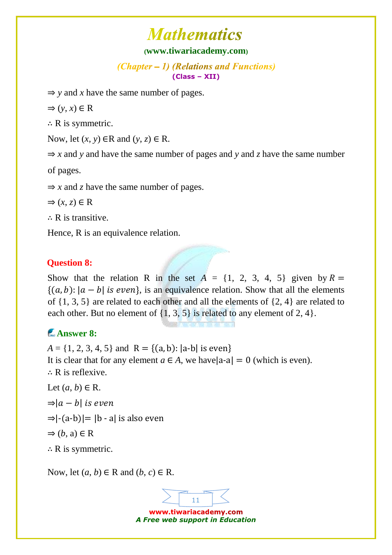#### **([www.tiwariacademy.com](http://www.tiwariacademy.com/))**

 $(Chapter - 1)$  (Relations and Functions) **(Class – XII)**

 $\Rightarrow$  *y* and *x* have the same number of pages.

 $\Rightarrow$   $(y, x) \in R$ 

 $\therefore$  R is symmetric.

Now, let  $(x, y) \in R$  and  $(y, z) \in R$ .

 $\Rightarrow$  *x* and *y* [and have the same number of pages and](http://www.tiwariacademy.com/) *y* and *z* have the same number

[of pages.](http://www.tiwariacademy.com/) 

 $\Rightarrow$  *x* and *z* have the same number of pages.

$$
\Rightarrow (x, z) \in \mathbb{R}
$$

∴ [R is transitive.](http://www.tiwariacademy.com/)

Hence, R is an equivalence relation.

### **Question 8:**

Show that the relation R in the set  $A = \{1, 2, 3, 4, 5\}$  given [by](http://www.tiwariacademy.com/)  $R =$  ${(a, b): |a - b|$  is even, is an equivalence relation. Show that all the elements [of {1, 3, 5}](http://www.tiwariacademy.com/) are related to each other and all the elements of {2, 4} are related to each other. But no element of  $\{1, 3, 5\}$  is related to any element of 2, 4 $\}$ .

## **Answer 8:**

 $A = \{1, 2, 3, 4, 5\}$  and  $R = \{(a, b): |a-b|$  is even [It is clear that for any element](http://www.tiwariacademy.com/)  $a \in A$ , we have  $|a-a| = 0$  (which is even). ∴ [R is reflexive.](http://www.tiwariacademy.com/) Let  $(a, b) \in R$ .  $\Rightarrow |a - b|$  is even  $\Rightarrow$ [-(a-b)] = [b - a] is also even  $\Rightarrow$  (*b*[, a\)](http://www.tiwariacademy.com/)  $\in$  R

∴ [R is symmetric.](http://www.tiwariacademy.com/) 

Now, let  $(a, b) \in R$  and  $(b, c) \in R$ .

11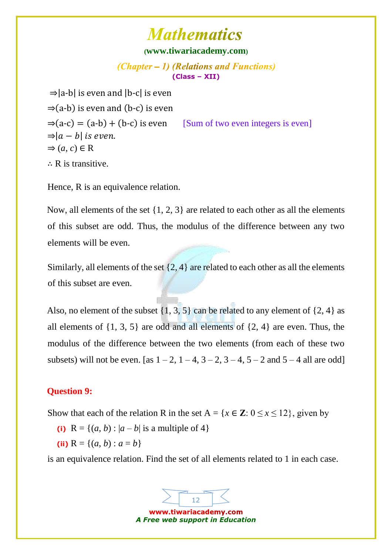#### **([www.tiwariacademy.com](http://www.tiwariacademy.com/))**

(Chapter – 1) (Relations and Functions) **(Class – XII)**

 $\Rightarrow$ |a-b| is even and |b-c| is even  $\Rightarrow$ (a-b) is even and (b-c) is even  $\Rightarrow$  (a-c) = (a-b) + (b-c) is even [Sum of two even integers is even]  $\Rightarrow |a - b|$  is even.  $\Rightarrow$   $(a, c) \in \mathbb{R}$ ∴ R is transitive.

Hence, R is an equivalence relation.

Now, all elements of the set  $\{1, 2, 3\}$  are related to each other as all the elements [of this subset are odd. Thus, the modulus of the difference between any two](http://www.tiwariacademy.com/)  [elements will be even.](http://www.tiwariacademy.com/) 

Similarly, all elements of the set  $\{2, 4\}$  are related to each other as all the elements [of this subset are even.](http://www.tiwariacademy.com/) 

Also, no element of the subset  $\{1, 3, 5\}$  can be related to any element of  $\{2, 4\}$  as all elements of  $\{1, 3, 5\}$  are odd and all elements of  $\{2, 4\}$  are even. Thus, the modulus of the difference between the two elements (from each of these two subsets) will not be even. [as  $1 - 2$ ,  $1 - 4$ ,  $3 - 2$ ,  $3 - 4$ ,  $5 - 2$  and  $5 - 4$  all are odd]

#### **Question 9:**

Show that each of the relation R in the set  $A = \{x \in \mathbb{Z} : 0 \le x \le 12\}$ , given by

- (i)  $R = \{(a, b) : |a b| \text{ is a multiple of } 4\}$
- (ii)  $R = \{(a, b) : a = b\}$

is an equivalence relation. Find the set of all elements related to 1 in each case.

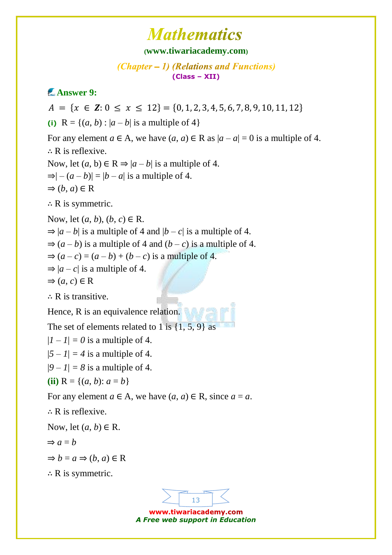#### **([www.tiwariacademy.com](http://www.tiwariacademy.com/))**

(Chapter – 1) (Relations and Functions) **(Class – XII)**

## **Answer 9:**

13  $A = \{x \in \mathbf{Z}: 0 \le x \le 12\} = \{0, 1, 2, 3, 4, 5, 6, 7, 8, 9, 10, 11, 12\}$ (i)  $R = \{(a, b) : |a - b| \text{ is a multiple of } 4\}$ For any element  $a \in A$ , we have  $(a, a) \in R$  as  $|a - a| = 0$  is a multiple of 4. ∴ [R is reflexive.](http://www.tiwariacademy.com/)  Now, let  $(a, b) \in \mathbb{R} \Rightarrow |a - b|$  is a multiple of 4.  $\Rightarrow$ | –  $(a - b)$ | = |b – a| is a multiple of 4.  $\Rightarrow$   $(b, a) \in \mathbb{R}$  $\therefore$  R is symmetric. [Now, let \(](http://www.tiwariacademy.com/)*a*, *b*), (*b*, *c*) ∈ R.  $\Rightarrow$   $|a - b|$  is a multiple of 4 and  $|b - c|$  is a multiple of 4.  $\Rightarrow$   $(a - b)$  is a multiple of 4 and  $(b - c)$  is a multiple of 4.  $\Rightarrow$   $(a-c) = (a-b) + (b-c)$  is a multiple of 4.  $\Rightarrow$   $|a - c|$  is a multiple of 4.  $\Rightarrow$   $(a, c) \in \mathbb{R}$ ∴ R is transitive. Hence, R is an equivalence relation. The set of elements related to 1 is  $\{1, 5, 9\}$  as  $|I - I| = 0$  is a multiple of 4.  $|5 - 1| = 4$  [is a multiple of 4.](http://www.tiwariacademy.com/)  $|9 - 1| = 8$  [is a multiple of 4.](http://www.tiwariacademy.com/) **(ii)**  $R = \{(a, b): a = b\}$ [For any element](http://www.tiwariacademy.com/)  $a \in A$ , we have  $(a, a) \in R$ , since  $a = a$ . ∴ [R is reflexive.](http://www.tiwariacademy.com/)  Now, let  $(a, b) \in R$ .  $\Rightarrow$  *a* = *b*  $\Rightarrow$  *b* = *a*  $\Rightarrow$  (*b*, *a*)  $\in$  R  $\therefore$  R is symmetric.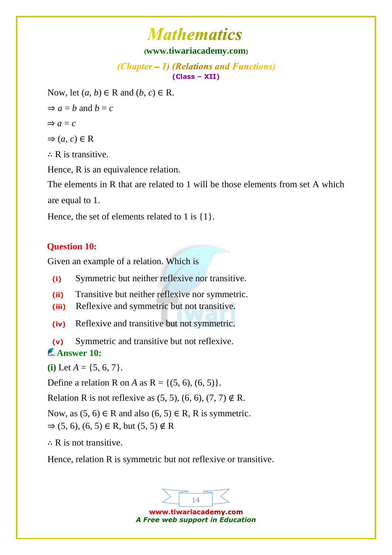#### **([www.tiwariacademy.com](http://www.tiwariacademy.com/))**

 $(Chapter - 1)$  (Relations and Functions) **(Class – XII)**

Now, let  $(a, b) \in R$  and  $(b, c) \in R$ .

 $\Rightarrow$  *a* = *b* [and](http://www.tiwariacademy.com/) *b* = *c* 

$$
\Rightarrow a = c
$$

 $\Rightarrow$   $(a, c) \in \mathbb{R}$ 

∴ R is transitive.

Hence, R is an equivalence relation.

The elements in R that are related to 1 will be those elements from set A which are equal to 1.

Hence, the set of elements related to 1 is  $\{1\}$ .

### **Question 10:**

Given an example of a relation. Which is

**(i)** Symmetric but neither reflexive nor transitive.

**(ii)** Transitive but neither reflexive nor symmetric.

**(iii)** Reflexive and symmetric but not transitive.

**(iv)** Reflexive and transitive but not symmetric.

**(v)** Symmetric and transitive but not reflexive. **Answer 10:** 

**(i)** Let  $A = \{5, 6, 7\}$ .

Define a relation R on *A* as  $R = \{(5, 6), (6, 5)\}.$ 

Relation R is not reflexive as  $(5, 5)$ ,  $(6, 6)$ ,  $(7, 7) \notin R$ .

Now, as  $(5, 6) \in R$  and also  $(6, 5) \in R$ , R is symmetric.  $\Rightarrow$  (5, 6), (6, 5) ∈ [R, but \(5, 5\)](http://www.tiwariacademy.com/) ∉ R

∴ [R is not transitive.](http://www.tiwariacademy.com/) 

[Hence, relation R is symmetric but not reflexive or transitive.](http://www.tiwariacademy.com/) 

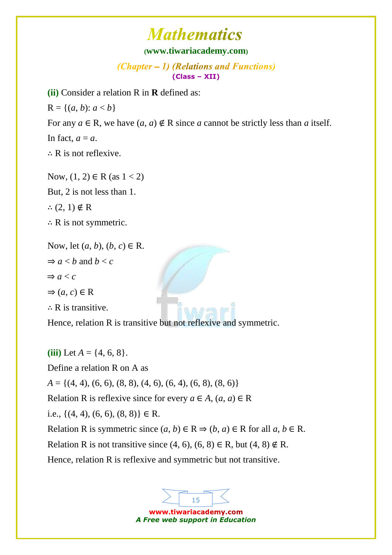#### **([www.tiwariacademy.com](http://www.tiwariacademy.com/))**

 $(Chapter - 1)$  (Relations and Functions) **(Class – XII)**

**(ii)** Consider a relation R in **R** defined as:

 $R = \{(a, b): a < b\}$ 

For any  $a \in \mathbb{R}$ , we have  $(a, a) \notin \mathbb{R}$  since  $a$  cannot be strictly less than  $a$  itself.

In fact,  $a = a$ .

∴ R is not reflexive.

Now,  $(1, 2) \in R$  (as  $1 < 2$ ) [But, 2 is not less than 1.](http://www.tiwariacademy.com/)  ∴  $(2, 1) \notin R$  $(2, 1) \notin R$ ∴ [R is not symmetric.](http://www.tiwariacademy.com/) 

Now, let  $(a, b)$ ,  $(b, c) \in R$ .  $\Rightarrow$  *a* < *b* [and](http://www.tiwariacademy.com/) *b* < *c*  $\Rightarrow$  *a* < *c*  $\Rightarrow$   $(a, c) \in \mathbb{R}$ ∴ [R is transitive.](http://www.tiwariacademy.com/) 

Hence, relation R is transitive but not reflexive and symmetric.

**(iii)** Let  $A = \{4, 6, 8\}.$ Define a relation R on A as *A* [= {\(4, 4\), \(6, 6\), \(8, 8\), \(4, 6\), \(6, 4\), \(6, 8\), \(8, 6\)}](http://www.tiwariacademy.com/)  [Relation R is reflexive since for every](http://www.tiwariacademy.com/)  $a \in A$ ,  $(a, a) \in R$ i.e.,  $\{(4, 4), (6, 6), (8, 8)\}\in \mathbb{R}$ . Relation R is symmetric since  $(a, b) \in R \Rightarrow (b, a) \in R$  for all  $a, b \in R$ . Relation R is not transitive since  $(4, 6)$ ,  $(6, 8) \in R$ , but  $(4, 8) \notin R$ . [Hence, relation R is reflexive and symmetric but not transitive.](http://www.tiwariacademy.com/)

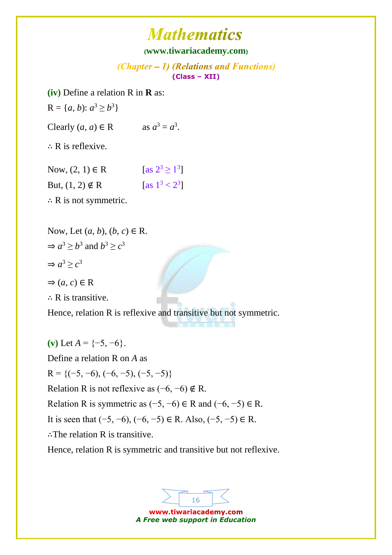### **([www.tiwariacademy.com](http://www.tiwariacademy.com/))**

(Chapter – 1) (Relations and Functions) **(Class – XII)**

**(iv)** Define a relation R in **R** as:

 $R = \{a, b\}: a^3 \ge b^3\}$ 

Clearly  $(a, a) \in \mathbb{R}$  as  $a^3 = a^3$ .

∴ R is reflexive.

| Now, $(2, 1) \in R$    | [as $2^3 \ge 1^3$ ] |
|------------------------|---------------------|
| But, $(1, 2) \notin R$ | [as $1^3 < 2^3$ ]   |

∴ [R is not symmetric.](http://www.tiwariacademy.com/) 

Now, Let  $(a, b)$ ,  $(b, c) \in \mathbb{R}$ .  $\Rightarrow$   $a^3 \ge b^3$  [and](http://www.tiwariacademy.com/)  $b^3 \ge c^3$  $\Rightarrow$   $a^3 \geq c^3$ 

 $\Rightarrow$   $(a, c) \in \mathbb{R}$ 

∴ [R is transitive.](http://www.tiwariacademy.com/)

Hence, relation R is reflexive and transitive but not symmetric.

(v) Let  $A = \{-5, -6\}$ . [Define a relation R on](http://www.tiwariacademy.com/) *A* as  $R = \{(-5, -6), (-6, -5), (-5, -5)\}$ Relation R is not reflexive as  $(-6, -6) \notin R$ . Relation R is symmetric as  $(-5, -6) \in R$  and  $(-6, -5) \in R$ . It is seen that  $(-5, -6)$ ,  $(-6, -5) \in R$ . Also,  $(-5, -5) \in R$ . ∴[The relation R is transitive.](http://www.tiwariacademy.com/)

Hence, relation R is symmetric and transitive but not reflexive.

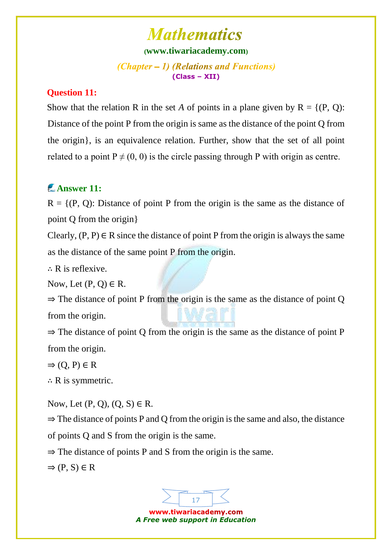#### **([www.tiwariacademy.com](http://www.tiwariacademy.com/))**

 $(Chapter - 1)$  (Relations and Functions) **(Class – XII)**

#### **Question 11:**

Show that the relation R in the set A of points in a plane given by  $R = \{ (P, Q) :$ [Distance of the point P from the origin is same as the distance of the point Q from](http://www.tiwariacademy.com/)  [the origin}, is an equivalence relation. Further, show that the set of all point](http://www.tiwariacademy.com/)  related to a point  $P \neq (0, 0)$  is the circle passing through P with origin as centre.

## **Answer 11:**

 $R = \{(P, Q):$  Distance of point P from the origin is the same as the distance of point Q from the origin}

Clearly,  $(P, P) \in R$  since the distance of point P from the origin is always the same [as the distance of the same point P from the origin.](http://www.tiwariacademy.com/) 

∴ [R is reflexive.](http://www.tiwariacademy.com/) 

Now, Let  $(P, Q) \in R$ .

 $\Rightarrow$  The distance of point P from the origin is the same as the distance of point Q from the origin.

 $\Rightarrow$  The distance of point Q from the origin is the same as the distance of point P from the origin.

 $\Rightarrow$  [\(Q, P\)](http://www.tiwariacademy.com/)  $\in$  R

 $\therefore$  R is symmetric.

Now, Let  $(P, Q)$ ,  $(Q, S) \in R$ .

 $\Rightarrow$  The distance of points P and Q from the origin is the same and also, the distance [of points Q and S from the origin is the same.](http://www.tiwariacademy.com/) 

 $\Rightarrow$  The distance of points P and S from the origin is the same.

 $\Rightarrow$  [\(P, S\)](http://www.tiwariacademy.com/)  $\in$  R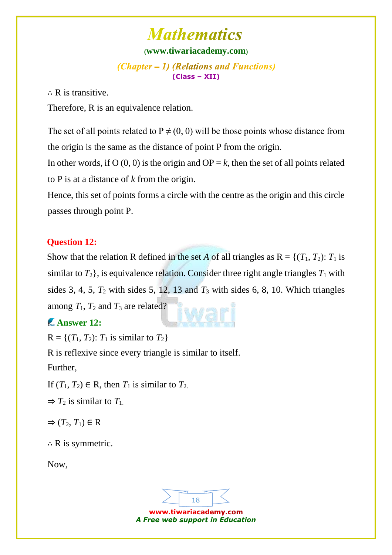#### **([www.tiwariacademy.com](http://www.tiwariacademy.com/))**

 $(Chapter - 1)$  (Relations and Functions) **(Class – XII)**

 $\therefore$  R is transitive.

[Therefore, R is an equivalence relation.](http://www.tiwariacademy.com/) 

The set of all points related to  $P \neq (0, 0)$  will be those points whose distance from the origin is the same as the distance of point P from the origin.

In other words, if  $O(0, 0)$  is the origin and  $OP = k$ , then the set of all points related [to P is at a distance of](http://www.tiwariacademy.com/) *k* from the origin.

[Hence, this set of points forms a circle with the centre as the origin and this circle](http://www.tiwariacademy.com/)  [passes through point P.](http://www.tiwariacademy.com/)

### **Question 12:**

Show that the relation R defined in the set *A* of all triangles as  $R = \{(T_1, T_2): T_1$  is similar to  $T_2$ , is equivalence relation. Consider three right angle triangles  $T_1$  with sides 3, 4, 5,  $T_2$  with sides 5, 12, 13 and  $T_3$  with sides 6, 8, 10. Which triangles among  $T_1$ ,  $T_2$  and  $T_3$  are related?

### **Answer 12:**

 $R = \{(T_1, T_2): T_1 \text{ is similar to } T_2\}$  $R = \{(T_1, T_2): T_1 \text{ is similar to } T_2\}$  $R = \{(T_1, T_2): T_1 \text{ is similar to } T_2\}$ 

[R is reflexive since every triangle is similar to itself.](http://www.tiwariacademy.com/) 

[Further,](http://www.tiwariacademy.com/) 

If  $(T_1, T_2) \in \mathbb{R}$ , then  $T_1$  [is similar to](http://www.tiwariacademy.com/)  $T_2$ .

 $\Rightarrow$  *T*<sub>2</sub> [is similar to](http://www.tiwariacademy.com/) *T*<sub>1</sub>.

 $\Rightarrow$   $(T_2, T_1) \in \mathbb{R}$ 

 $\therefore$  [R is symmetric.](http://www.tiwariacademy.com/)

Now,

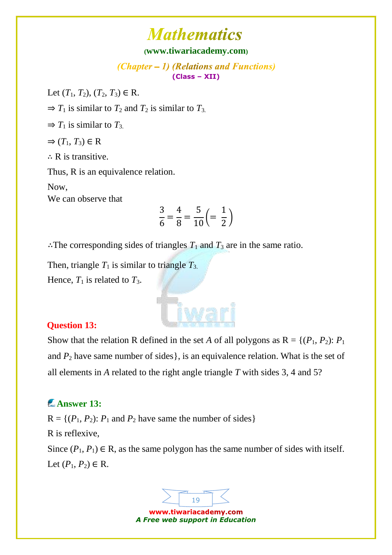#### **([www.tiwariacademy.com](http://www.tiwariacademy.com/))**

(Chapter – 1) (Relations and Functions) **(Class – XII)**

Let  $(T_1, T_2), (T_2, T_3) \in \mathbb{R}$ .

 $\Rightarrow$  *T*<sub>1</sub> [is similar to](http://www.tiwariacademy.com/) *T*<sub>2</sub> and *T*<sub>2</sub> is similar to *T*<sub>3</sub>.

 $\Rightarrow$  *T*<sub>1</sub> [is similar to](http://www.tiwariacademy.com/) *T*<sub>3</sub>.

 $\Rightarrow$   $(T_1, T_3) \in \mathbb{R}$ 

∴ [R is transitive.](http://www.tiwariacademy.com/) 

[Thus, R is an equivalence relation.](http://www.tiwariacademy.com/) 

[Now,](http://www.tiwariacademy.com/) 

[We can observe that](http://www.tiwariacademy.com/)

$$
\frac{3}{6} = \frac{4}{8} = \frac{5}{10} \left( = \frac{1}{2} \right)
$$

: The corresponding sides of triangles  $T_1$  and  $T_3$  are in the same ratio.

Then, triangle  $T_1$  is similar to triangle  $T_3$ . Hence,  $T_1$  is related to  $T_3$ .

### **Question 13:**

[Show that the relation R defined in the set](http://www.tiwariacademy.com/) *A* of all polygons as  $R = \{(P_1, P_2): P_1\}$ and  $P_2$  [have same number of sides},](http://www.tiwariacademy.com/) is an equivalence relation. What is the set of all elements in *A* related to the right angle triangle *T* with sides 3, 4 and 5?

## **Answer 13:**

 $R = \{(P_1, P_2): P_1 \text{ and } P_2 \text{ have same the number of sides}\}\$ [R is reflexive,](http://www.tiwariacademy.com/)  Since  $(P_1, P_1) \in \mathbb{R}$ , as the same polygon has the same number of sides with itself.

Let  $(P_1, P_2) \in R$ .

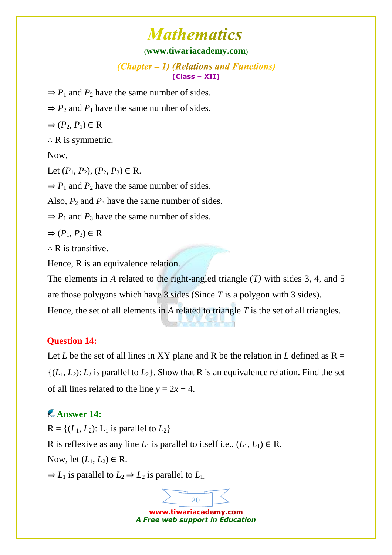#### **([www.tiwariacademy.com](http://www.tiwariacademy.com/))**

(Chapter – 1) (Relations and Functions) **(Class – XII)**

- $\Rightarrow$  *P*<sub>1</sub> and *P*<sub>2</sub> have the same number of sides.
- $\Rightarrow$  *P*<sub>2</sub> and *P*<sub>1</sub> have the same number of sides.

 $\Rightarrow$   $(P_2, P_1) \in \mathbb{R}$ 

 $\therefore$  [R is symmetric.](http://www.tiwariacademy.com/)

Now,

Let  $(P_1, P_2), (P_2, P_3) \in \mathbb{R}$ .

 $\Rightarrow$  *P*<sub>1</sub> and *P*<sub>2</sub> have the same number of sides.

Also,  $P_2$  and  $P_3$  have the same number of sides.

 $\Rightarrow$  *P*<sub>1</sub> and *P*<sub>3</sub> have the same number of sides.

 $\Rightarrow$   $(P_1, P_3) \in \mathbb{R}$ 

∴ [R is transitive.](http://www.tiwariacademy.com/) 

Hence, R is an equivalence relation.

The elements in *A* [related to the right-angled triangle \(](http://www.tiwariacademy.com/)*T)* with sides 3, 4, and 5 [are those polygons which have 3 sides \(Since](http://www.tiwariacademy.com/) *T* is a polygon with 3 sides).

Hence, the set of all elements in *A* related to triangle *T* is the set of all triangles.

#### **Question 14:**

Let *L* be the set of all lines in XY plane and R be the relation in *L* defined as  $R =$  $\{(L_1, L_2): L_1$  is parallel to  $L_2\}$ . Show that R is an equivalence relation. Find the set of all lines related to the line  $y = 2x + 4$ .

## **Answer 14:**

 $R = \{(L_1, L_2): L_1 \text{ is parallel to } L_2\}$ R is reflexive as any line  $L_1$  is parallel to itself i.e.,  $(L_1, L_1) \in \mathbb{R}$ . Now, let  $(L_1, L_2) \in \mathbb{R}$ .  $\Rightarrow$  *L*<sub>1</sub> [is parallel to](http://www.tiwariacademy.com/) *L*<sub>2</sub>  $\Rightarrow$  *L*<sub>2</sub> is parallel to *L*<sub>1</sub>.

www.tiwariacademy.com *A Free web support in Education*

20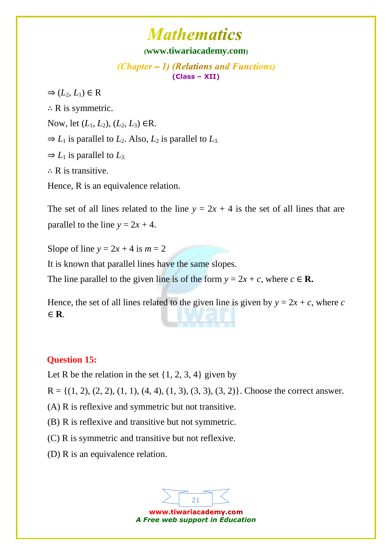#### **([www.tiwariacademy.com](http://www.tiwariacademy.com/))**

 $(Chapter - 1)$  (Relations and Functions) **(Class – XII)**

 $\Rightarrow$   $(L_2, L_1) \in \mathbb{R}$ 

 $\therefore$  R is symmetric.

[Now, let \(](http://www.tiwariacademy.com/)*L*1, *L*2), (*L*2, *L*3) ∈R.

 $\Rightarrow$  *L*<sub>1</sub> [is parallel to](http://www.tiwariacademy.com/) *L*<sub>2</sub>. Also, *L*<sub>2</sub> is parallel to *L*<sub>3</sub>.

 $\Rightarrow$  *L*<sub>1</sub> [is parallel to](http://www.tiwariacademy.com/) *L*<sub>3</sub>.

∴ R is transitive.

Hence, R is an equivalence relation.

The set of all lines related to the line  $y = 2x + 4$  is the set of all lines that are parallel to the line  $y = 2x + 4$ .

[Slope of line](http://www.tiwariacademy.com/)  $y = 2x + 4$  is  $m = 2$ 

[It is known that parallel lines have the same slopes.](http://www.tiwariacademy.com/) 

[The line parallel to the given line is of the form](http://www.tiwariacademy.com/)  $y = 2x + c$ , where  $c \in \mathbb{R}$ .

Hence, the set of all lines related to the given line is given by  $y = 2x + c$ , where *c* ∈ **R**.

### **Question 15:**

Let R be the relation in the set  $\{1, 2, 3, 4\}$  given by

 $R = \{(1, 2), (2, 2), (1, 1), (4, 4), (1, 3), (3, 3), (3, 2)\}.$  Choose the correct answer.

(A) R is reflexive and symmetric but not transitive.

(B) R is reflexive and transitive but not symmetric.

(C) R is symmetric and transitive but not reflexive.

(D) R is an equivalence relation.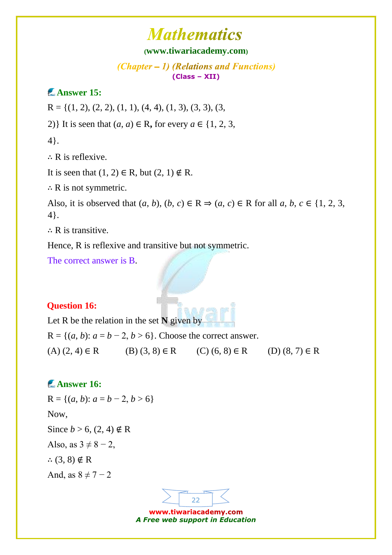### **([www.tiwariacademy.com](http://www.tiwariacademy.com/))**

(Chapter – 1) (Relations and Functions) **(Class – XII)**

### **Answer 15:**

 $R = \{(1, 2), (2, 2), (1, 1), (4, 4), (1, 3), (3, 3), (3,$ 

2)} It is seen that  $(a, a) \in \mathbb{R}$ , for every  $a \in \{1, 2, 3, \ldots\}$ 

[4}.](http://www.tiwariacademy.com/) 

∴ [R is reflexive.](http://www.tiwariacademy.com/) 

It is seen that  $(1, 2) \in R$ , but  $(2, 1) \notin R$ .

∴ [R is not symmetric.](http://www.tiwariacademy.com/)

Also, it is observed that  $(a, b)$ ,  $(b, c) \in \mathbb{R} \Rightarrow (a, c) \in \mathbb{R}$  for all  $a, b, c \in \{1, 2, 3, \ldots\}$ 4}.

∴ R is transitive.

Hence, R is reflexive and transitive but not symmetric.

The correct answer is B.

#### **Question 16:**

Let R be the relation in the set **N** given by

 $R = \{(a, b): a = b - 2, b > 6\}$ . Choose the correct answer.

 $(A)$  (2, 4)  $\in$  R (B) (3, 8)  $\in$  R (C) (6, 8)  $\in$  R (D) (8, 7)  $\in$  R

### **Answer 16:**

 $R = \{(a, b): a = b - 2, b > 6\}$ Now, Since  $b > 6$ , (2, 4)  $\notin$  R Also, as  $3 \neq 8 - 2$ , ∴  $(3, 8) \notin R$  $(3, 8) \notin R$ And, as  $8 \neq 7-2$